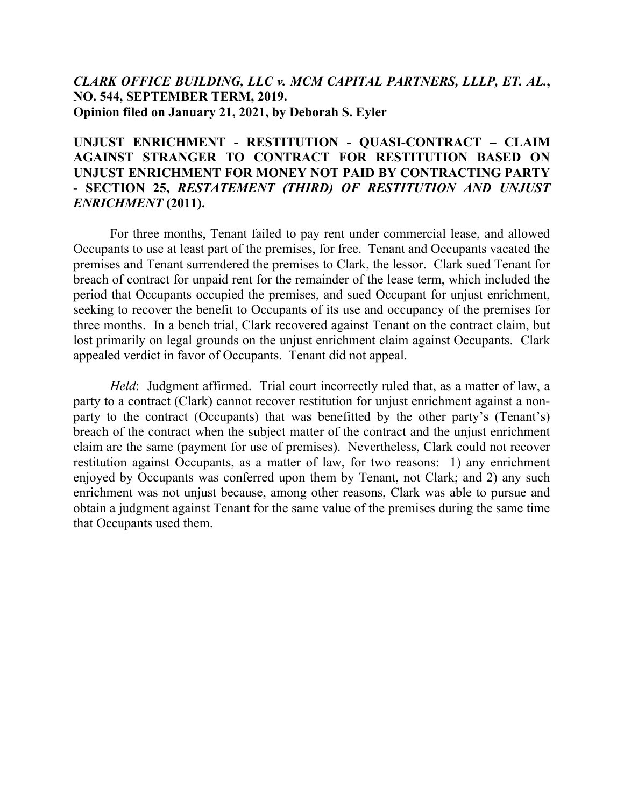# *CLARK OFFICE BUILDING, LLC v. MCM CAPITAL PARTNERS, LLLP, ET. AL.***, NO. 544, SEPTEMBER TERM, 2019. Opinion filed on January 21, 2021, by Deborah S. Eyler**

# **UNJUST ENRICHMENT - RESTITUTION - QUASI-CONTRACT – CLAIM AGAINST STRANGER TO CONTRACT FOR RESTITUTION BASED ON UNJUST ENRICHMENT FOR MONEY NOT PAID BY CONTRACTING PARTY - SECTION 25,** *RESTATEMENT (THIRD) OF RESTITUTION AND UNJUST ENRICHMENT* **(2011).**

For three months, Tenant failed to pay rent under commercial lease, and allowed Occupants to use at least part of the premises, for free. Tenant and Occupants vacated the premises and Tenant surrendered the premises to Clark, the lessor. Clark sued Tenant for breach of contract for unpaid rent for the remainder of the lease term, which included the period that Occupants occupied the premises, and sued Occupant for unjust enrichment, seeking to recover the benefit to Occupants of its use and occupancy of the premises for three months. In a bench trial, Clark recovered against Tenant on the contract claim, but lost primarily on legal grounds on the unjust enrichment claim against Occupants. Clark appealed verdict in favor of Occupants. Tenant did not appeal.

*Held*: Judgment affirmed. Trial court incorrectly ruled that, as a matter of law, a party to a contract (Clark) cannot recover restitution for unjust enrichment against a nonparty to the contract (Occupants) that was benefitted by the other party's (Tenant's) breach of the contract when the subject matter of the contract and the unjust enrichment claim are the same (payment for use of premises). Nevertheless, Clark could not recover restitution against Occupants, as a matter of law, for two reasons: 1) any enrichment enjoyed by Occupants was conferred upon them by Tenant, not Clark; and 2) any such enrichment was not unjust because, among other reasons, Clark was able to pursue and obtain a judgment against Tenant for the same value of the premises during the same time that Occupants used them.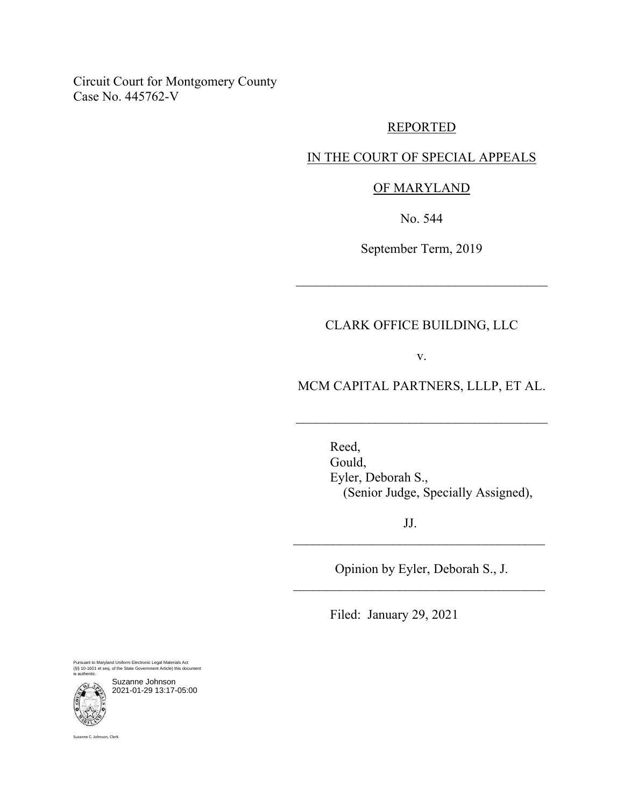Circuit Court for Montgomery County Case No. 445762-V

## REPORTED

## IN THE COURT OF SPECIAL APPEALS

## OF MARYLAND

No. 544

September Term, 2019

 $\mathcal{L}_\mathcal{L}$  , where  $\mathcal{L}_\mathcal{L}$  is the set of the set of the set of the set of the set of the set of the set of the set of the set of the set of the set of the set of the set of the set of the set of the set of the

## CLARK OFFICE BUILDING, LLC

v.

# MCM CAPITAL PARTNERS, LLLP, ET AL.

\_\_\_\_\_\_\_\_\_\_\_\_\_\_\_\_\_\_\_\_\_\_\_\_\_\_\_\_\_\_\_\_\_\_\_\_\_\_

Reed, Gould, Eyler, Deborah S., (Senior Judge, Specially Assigned),

JJ.

Opinion by Eyler, Deborah S., J.  $\mathcal{L}_\text{max}$  and  $\mathcal{L}_\text{max}$  and  $\mathcal{L}_\text{max}$  and  $\mathcal{L}_\text{max}$ 

\_\_\_\_\_\_\_\_\_\_\_\_\_\_\_\_\_\_\_\_\_\_\_\_\_\_\_\_\_\_\_\_\_\_\_\_\_\_

Filed: January 29, 2021

Pursuant to Maryland Uniform Electronic Legal Materials Act (§§ 10-1601 et seq. of the State Government Article) this document is authentic.

Suzanne Johnson 2021-01-29 13:17-05:00

Suzanne C. Johnson, Clerk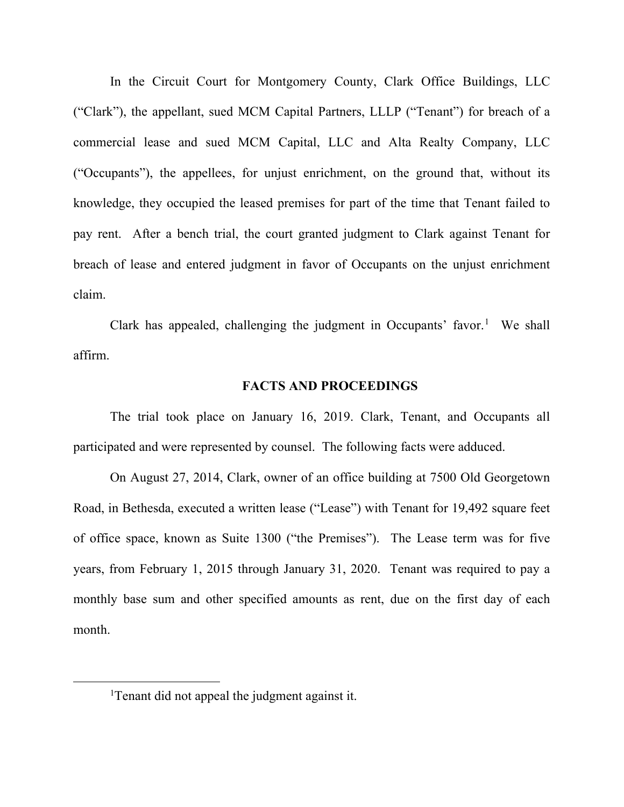In the Circuit Court for Montgomery County, Clark Office Buildings, LLC ("Clark"), the appellant, sued MCM Capital Partners, LLLP ("Tenant") for breach of a commercial lease and sued MCM Capital, LLC and Alta Realty Company, LLC ("Occupants"), the appellees, for unjust enrichment, on the ground that, without its knowledge, they occupied the leased premises for part of the time that Tenant failed to pay rent. After a bench trial, the court granted judgment to Clark against Tenant for breach of lease and entered judgment in favor of Occupants on the unjust enrichment claim.

Clark has appealed, challenging the judgment in Occupants' favor.<sup>[1](#page-2-0)</sup> We shall affirm.

#### **FACTS AND PROCEEDINGS**

The trial took place on January 16, 2019. Clark, Tenant, and Occupants all participated and were represented by counsel. The following facts were adduced.

On August 27, 2014, Clark, owner of an office building at 7500 Old Georgetown Road, in Bethesda, executed a written lease ("Lease") with Tenant for 19,492 square feet of office space, known as Suite 1300 ("the Premises"). The Lease term was for five years, from February 1, 2015 through January 31, 2020. Tenant was required to pay a monthly base sum and other specified amounts as rent, due on the first day of each month.

<span id="page-2-0"></span><sup>&</sup>lt;sup>1</sup>Tenant did not appeal the judgment against it.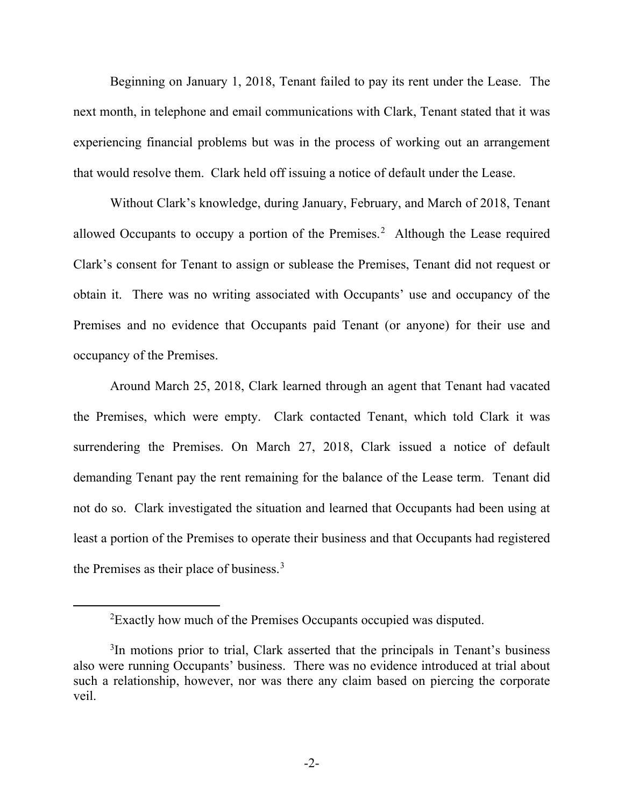Beginning on January 1, 2018, Tenant failed to pay its rent under the Lease. The next month, in telephone and email communications with Clark, Tenant stated that it was experiencing financial problems but was in the process of working out an arrangement that would resolve them. Clark held off issuing a notice of default under the Lease.

Without Clark's knowledge, during January, February, and March of 2018, Tenant allowed Occupants to occupy a portion of the Premises.<sup>[2](#page-3-0)</sup> Although the Lease required Clark's consent for Tenant to assign or sublease the Premises, Tenant did not request or obtain it. There was no writing associated with Occupants' use and occupancy of the Premises and no evidence that Occupants paid Tenant (or anyone) for their use and occupancy of the Premises.

Around March 25, 2018, Clark learned through an agent that Tenant had vacated the Premises, which were empty. Clark contacted Tenant, which told Clark it was surrendering the Premises. On March 27, 2018, Clark issued a notice of default demanding Tenant pay the rent remaining for the balance of the Lease term. Tenant did not do so. Clark investigated the situation and learned that Occupants had been using at least a portion of the Premises to operate their business and that Occupants had registered the Premises as their place of business.<sup>[3](#page-3-1)</sup>

 ${}^{2}$ Exactly how much of the Premises Occupants occupied was disputed.

<span id="page-3-1"></span><span id="page-3-0"></span><sup>&</sup>lt;sup>3</sup>In motions prior to trial, Clark asserted that the principals in Tenant's business also were running Occupants' business. There was no evidence introduced at trial about such a relationship, however, nor was there any claim based on piercing the corporate veil.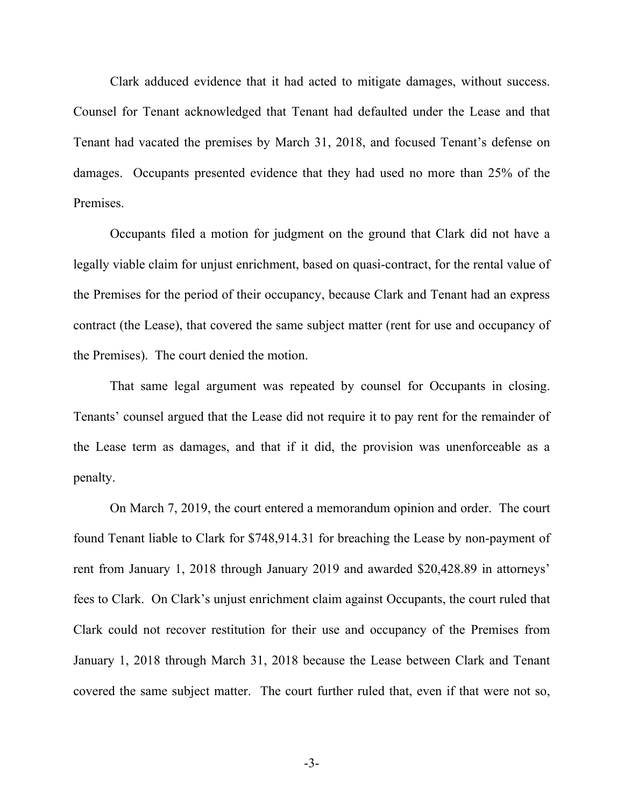Clark adduced evidence that it had acted to mitigate damages, without success. Counsel for Tenant acknowledged that Tenant had defaulted under the Lease and that Tenant had vacated the premises by March 31, 2018, and focused Tenant's defense on damages. Occupants presented evidence that they had used no more than 25% of the Premises.

Occupants filed a motion for judgment on the ground that Clark did not have a legally viable claim for unjust enrichment, based on quasi-contract, for the rental value of the Premises for the period of their occupancy, because Clark and Tenant had an express contract (the Lease), that covered the same subject matter (rent for use and occupancy of the Premises). The court denied the motion.

That same legal argument was repeated by counsel for Occupants in closing. Tenants' counsel argued that the Lease did not require it to pay rent for the remainder of the Lease term as damages, and that if it did, the provision was unenforceable as a penalty.

On March 7, 2019, the court entered a memorandum opinion and order. The court found Tenant liable to Clark for \$748,914.31 for breaching the Lease by non-payment of rent from January 1, 2018 through January 2019 and awarded \$20,428.89 in attorneys' fees to Clark. On Clark's unjust enrichment claim against Occupants, the court ruled that Clark could not recover restitution for their use and occupancy of the Premises from January 1, 2018 through March 31, 2018 because the Lease between Clark and Tenant covered the same subject matter. The court further ruled that, even if that were not so,

-3-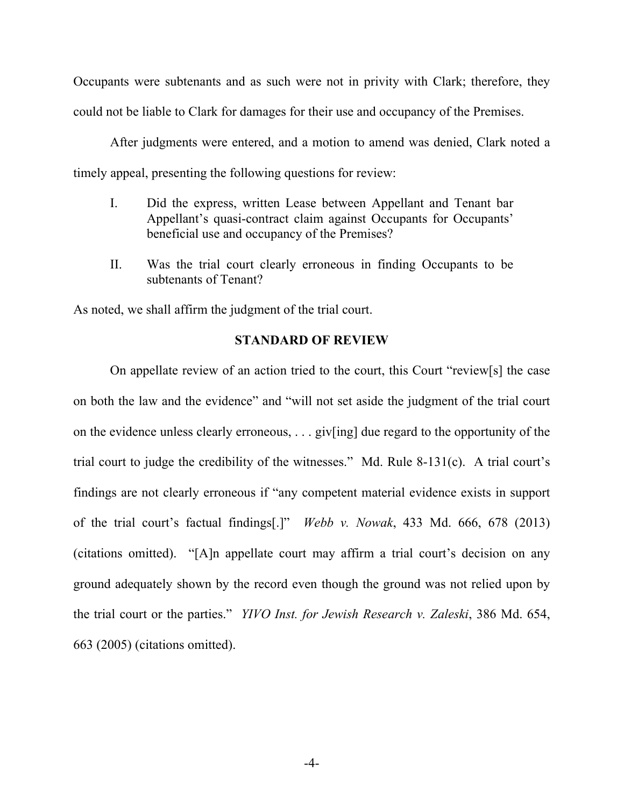Occupants were subtenants and as such were not in privity with Clark; therefore, they could not be liable to Clark for damages for their use and occupancy of the Premises.

After judgments were entered, and a motion to amend was denied, Clark noted a timely appeal, presenting the following questions for review:

- I. Did the express, written Lease between Appellant and Tenant bar Appellant's quasi-contract claim against Occupants for Occupants' beneficial use and occupancy of the Premises?
- II. Was the trial court clearly erroneous in finding Occupants to be subtenants of Tenant?

As noted, we shall affirm the judgment of the trial court.

#### **STANDARD OF REVIEW**

On appellate review of an action tried to the court, this Court "review[s] the case on both the law and the evidence" and "will not set aside the judgment of the trial court on the evidence unless clearly erroneous, . . . giv[ing] due regard to the opportunity of the trial court to judge the credibility of the witnesses." Md. Rule 8-131(c). A trial court's findings are not clearly erroneous if "any competent material evidence exists in support of the trial court's factual findings[.]" *Webb v. Nowak*, 433 Md. 666, 678 (2013) (citations omitted). "[A]n appellate court may affirm a trial court's decision on any ground adequately shown by the record even though the ground was not relied upon by the trial court or the parties." *YIVO Inst. for Jewish Research v. Zaleski*, 386 Md. 654, 663 (2005) (citations omitted).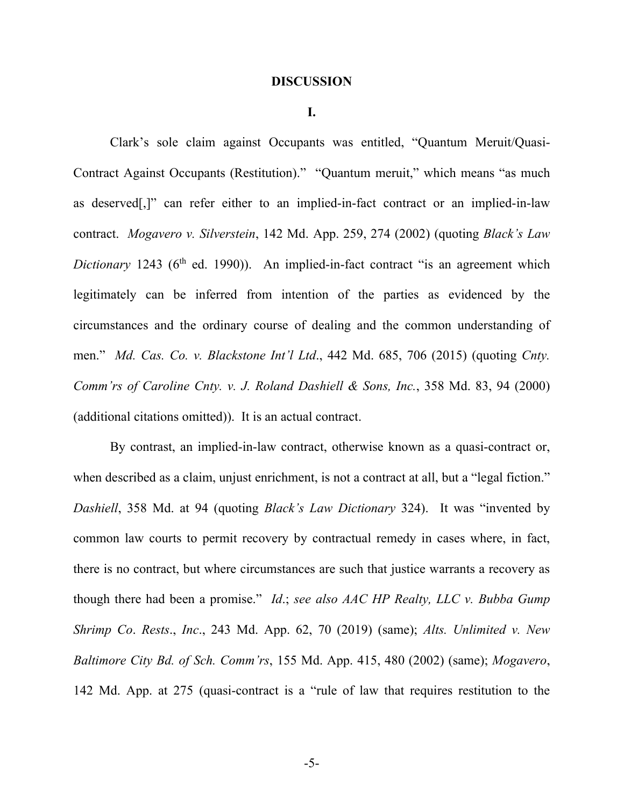#### **DISCUSSION**

**I.**

Clark's sole claim against Occupants was entitled, "Quantum Meruit/Quasi-Contract Against Occupants (Restitution)." "Quantum meruit," which means "as much as deserved[,]" can refer either to an implied-in-fact contract or an implied-in-law contract. *Mogavero v. Silverstein*, 142 Md. App. 259, 274 (2002) (quoting *Black's Law Dictionary* 1243 (6<sup>th</sup> ed. 1990)). An implied-in-fact contract "is an agreement which legitimately can be inferred from intention of the parties as evidenced by the circumstances and the ordinary course of dealing and the common understanding of men." *Md. Cas. Co. v. Blackstone Int'l Ltd*., 442 Md. 685, 706 (2015) (quoting *Cnty. Comm'rs of Caroline Cnty. v. J. Roland Dashiell & Sons, Inc.*, 358 Md. 83, 94 (2000) (additional citations omitted)). It is an actual contract.

By contrast, an implied-in-law contract, otherwise known as a quasi-contract or, when described as a claim, unjust enrichment, is not a contract at all, but a "legal fiction." *Dashiell*, 358 Md. at 94 (quoting *Black's Law Dictionary* 324). It was "invented by common law courts to permit recovery by contractual remedy in cases where, in fact, there is no contract, but where circumstances are such that justice warrants a recovery as though there had been a promise." *Id*.; *see also AAC HP Realty, LLC v. Bubba Gump Shrimp Co*. *Rests*., *Inc*., 243 Md. App. 62, 70 (2019) (same); *Alts. Unlimited v. New Baltimore City Bd. of Sch. Comm'rs*, 155 Md. App. 415, 480 (2002) (same); *Mogavero*, 142 Md. App. at 275 (quasi-contract is a "rule of law that requires restitution to the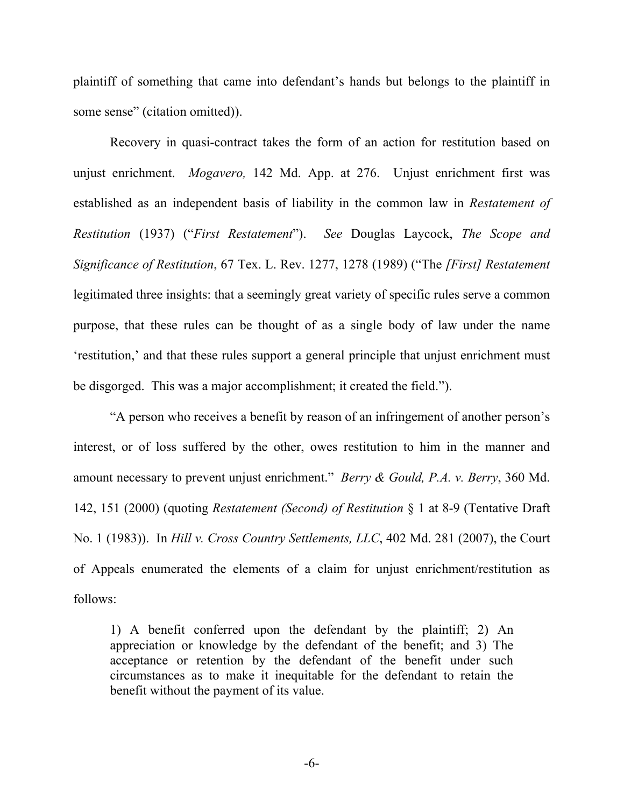plaintiff of something that came into defendant's hands but belongs to the plaintiff in some sense" (citation omitted)).

Recovery in quasi-contract takes the form of an action for restitution based on unjust enrichment. *Mogavero,* 142 Md. App. at 276. Unjust enrichment first was established as an independent basis of liability in the common law in *Restatement of Restitution* (1937) ("*First Restatement*"). *See* Douglas Laycock, *The Scope and Significance of Restitution*, 67 Tex. L. Rev. 1277, 1278 (1989) ("The *[First] Restatement* legitimated three insights: that a seemingly great variety of specific rules serve a common purpose, that these rules can be thought of as a single body of law under the name 'restitution,' and that these rules support a general principle that unjust enrichment must be disgorged. This was a major accomplishment; it created the field.").

"A person who receives a benefit by reason of an infringement of another person's interest, or of loss suffered by the other, owes restitution to him in the manner and amount necessary to prevent unjust enrichment." *Berry & Gould, P.A. v. Berry*, 360 Md. 142, 151 (2000) (quoting *Restatement (Second) of Restitution* § 1 at 8-9 (Tentative Draft No. 1 (1983)). In *Hill v. Cross Country Settlements, LLC*, 402 Md. 281 (2007), the Court of Appeals enumerated the elements of a claim for unjust enrichment/restitution as follows:

1) A benefit conferred upon the defendant by the plaintiff; 2) An appreciation or knowledge by the defendant of the benefit; and 3) The acceptance or retention by the defendant of the benefit under such circumstances as to make it inequitable for the defendant to retain the benefit without the payment of its value.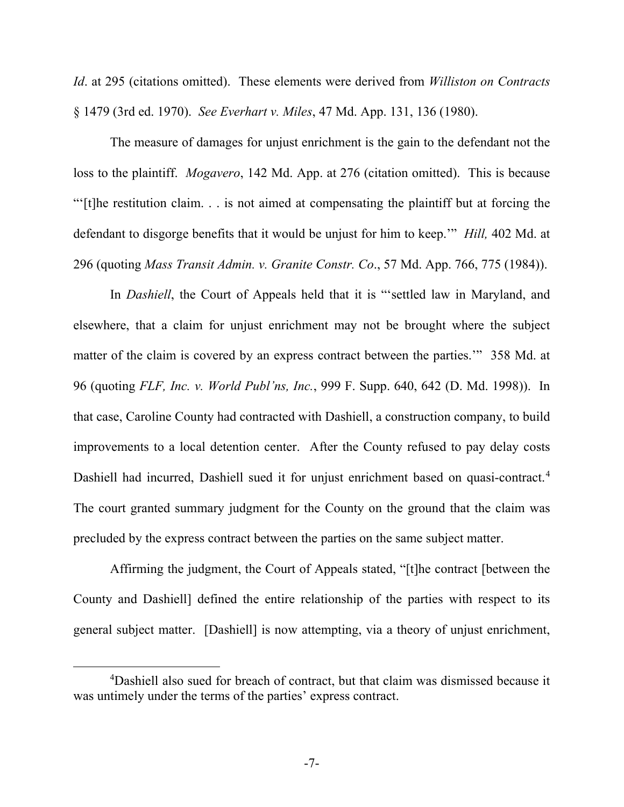*Id*. at 295 (citations omitted). These elements were derived from *Williston on Contracts* § 1479 (3rd ed. 1970). *See Everhart v. Miles*, 47 Md. App. 131, 136 (1980).

The measure of damages for unjust enrichment is the gain to the defendant not the loss to the plaintiff. *Mogavero*, 142 Md. App. at 276 (citation omitted). This is because "'[t]he restitution claim. . . is not aimed at compensating the plaintiff but at forcing the defendant to disgorge benefits that it would be unjust for him to keep.'" *Hill,* 402 Md. at 296 (quoting *Mass Transit Admin. v. Granite Constr. Co*., 57 Md. App. 766, 775 (1984)).

In *Dashiell*, the Court of Appeals held that it is "'settled law in Maryland, and elsewhere, that a claim for unjust enrichment may not be brought where the subject matter of the claim is covered by an express contract between the parties.'" 358 Md. at 96 (quoting *FLF, Inc. v. World Publ'ns, Inc.*, 999 F. Supp. 640, 642 (D. Md. 1998)). In that case, Caroline County had contracted with Dashiell, a construction company, to build improvements to a local detention center. After the County refused to pay delay costs Dashiell had incurred, Dashiell sued it for unjust enrichment based on quasi-contract.<sup>[4](#page-8-0)</sup> The court granted summary judgment for the County on the ground that the claim was precluded by the express contract between the parties on the same subject matter.

Affirming the judgment, the Court of Appeals stated, "[t]he contract [between the County and Dashiell] defined the entire relationship of the parties with respect to its general subject matter. [Dashiell] is now attempting, via a theory of unjust enrichment,

<span id="page-8-0"></span><sup>4</sup> Dashiell also sued for breach of contract, but that claim was dismissed because it was untimely under the terms of the parties' express contract.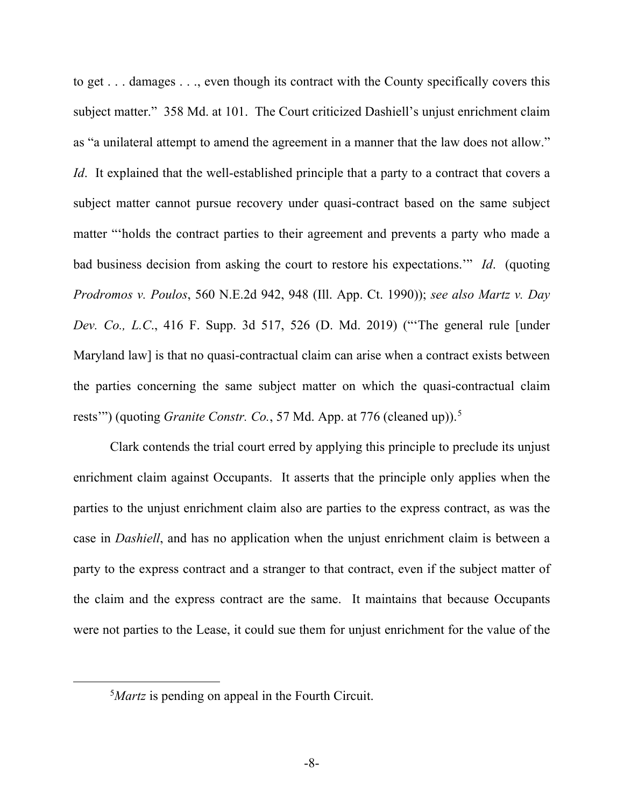to get . . . damages . . ., even though its contract with the County specifically covers this subject matter." 358 Md. at 101. The Court criticized Dashiell's unjust enrichment claim as "a unilateral attempt to amend the agreement in a manner that the law does not allow." *Id.* It explained that the well-established principle that a party to a contract that covers a subject matter cannot pursue recovery under quasi-contract based on the same subject matter "'holds the contract parties to their agreement and prevents a party who made a bad business decision from asking the court to restore his expectations.'" *Id*. (quoting *Prodromos v. Poulos*, 560 N.E.2d 942, 948 (Ill. App. Ct. 1990)); *see also Martz v. Day Dev. Co., L.C*., 416 F. Supp. 3d 517, 526 (D. Md. 2019) ("'The general rule [under Maryland law] is that no quasi-contractual claim can arise when a contract exists between the parties concerning the same subject matter on which the quasi-contractual claim rests'") (quoting *Granite Constr. Co.*, [5](#page-9-0)7 Md. App. at 776 (cleaned up)).<sup>5</sup>

Clark contends the trial court erred by applying this principle to preclude its unjust enrichment claim against Occupants. It asserts that the principle only applies when the parties to the unjust enrichment claim also are parties to the express contract, as was the case in *Dashiell*, and has no application when the unjust enrichment claim is between a party to the express contract and a stranger to that contract, even if the subject matter of the claim and the express contract are the same. It maintains that because Occupants were not parties to the Lease, it could sue them for unjust enrichment for the value of the

<span id="page-9-0"></span><sup>&</sup>lt;sup>5</sup>Martz is pending on appeal in the Fourth Circuit.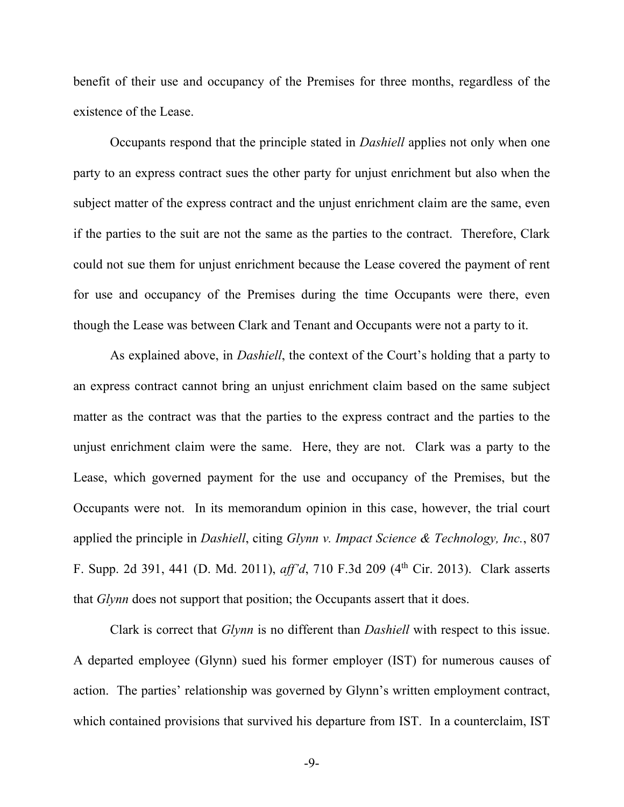benefit of their use and occupancy of the Premises for three months, regardless of the existence of the Lease.

Occupants respond that the principle stated in *Dashiell* applies not only when one party to an express contract sues the other party for unjust enrichment but also when the subject matter of the express contract and the unjust enrichment claim are the same, even if the parties to the suit are not the same as the parties to the contract. Therefore, Clark could not sue them for unjust enrichment because the Lease covered the payment of rent for use and occupancy of the Premises during the time Occupants were there, even though the Lease was between Clark and Tenant and Occupants were not a party to it.

As explained above, in *Dashiell*, the context of the Court's holding that a party to an express contract cannot bring an unjust enrichment claim based on the same subject matter as the contract was that the parties to the express contract and the parties to the unjust enrichment claim were the same. Here, they are not. Clark was a party to the Lease, which governed payment for the use and occupancy of the Premises, but the Occupants were not. In its memorandum opinion in this case, however, the trial court applied the principle in *Dashiell*, citing *Glynn v. Impact Science & Technology, Inc.*, 807 F. Supp. 2d 391, 441 (D. Md. 2011), *aff'd*, 710 F.3d 209 (4th Cir. 2013). Clark asserts that *Glynn* does not support that position; the Occupants assert that it does.

Clark is correct that *Glynn* is no different than *Dashiell* with respect to this issue. A departed employee (Glynn) sued his former employer (IST) for numerous causes of action. The parties' relationship was governed by Glynn's written employment contract, which contained provisions that survived his departure from IST. In a counterclaim, IST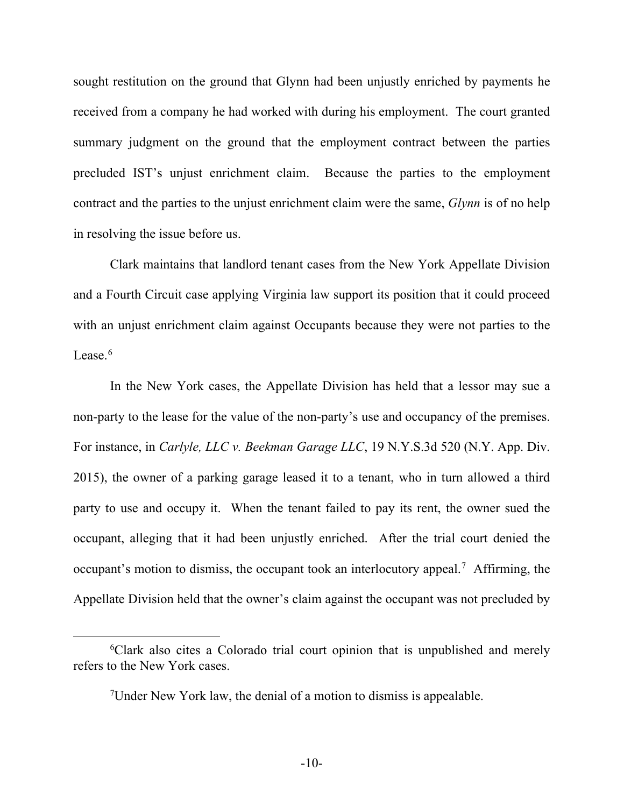sought restitution on the ground that Glynn had been unjustly enriched by payments he received from a company he had worked with during his employment. The court granted summary judgment on the ground that the employment contract between the parties precluded IST's unjust enrichment claim. Because the parties to the employment contract and the parties to the unjust enrichment claim were the same, *Glynn* is of no help in resolving the issue before us.

Clark maintains that landlord tenant cases from the New York Appellate Division and a Fourth Circuit case applying Virginia law support its position that it could proceed with an unjust enrichment claim against Occupants because they were not parties to the Lease  $6$ 

In the New York cases, the Appellate Division has held that a lessor may sue a non-party to the lease for the value of the non-party's use and occupancy of the premises. For instance, in *Carlyle, LLC v. Beekman Garage LLC*, 19 N.Y.S.3d 520 (N.Y. App. Div. 2015), the owner of a parking garage leased it to a tenant, who in turn allowed a third party to use and occupy it. When the tenant failed to pay its rent, the owner sued the occupant, alleging that it had been unjustly enriched. After the trial court denied the occupant's motion to dismiss, the occupant took an interlocutory appeal.<sup>[7](#page-11-1)</sup> Affirming, the Appellate Division held that the owner's claim against the occupant was not precluded by

<span id="page-11-1"></span><span id="page-11-0"></span><sup>6</sup> Clark also cites a Colorado trial court opinion that is unpublished and merely refers to the New York cases.

<sup>&</sup>lt;sup>7</sup>Under New York law, the denial of a motion to dismiss is appealable.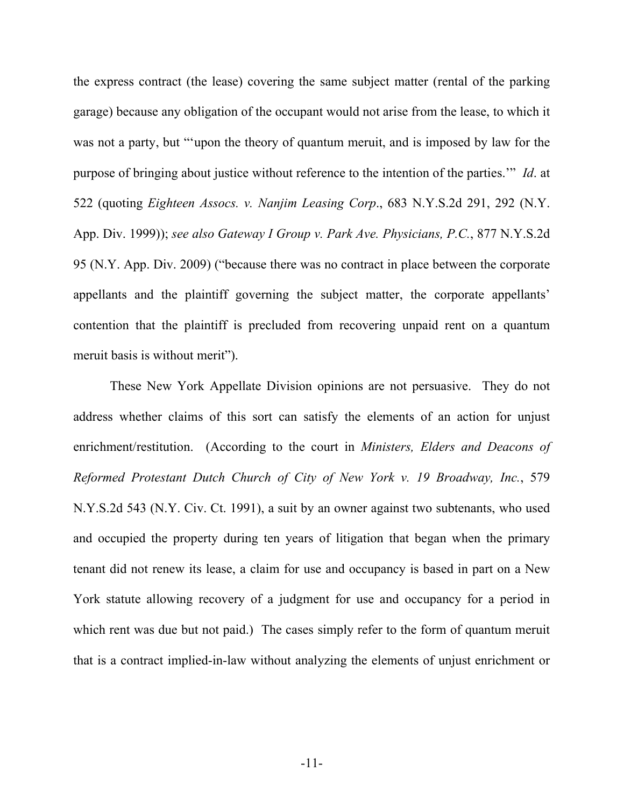the express contract (the lease) covering the same subject matter (rental of the parking garage) because any obligation of the occupant would not arise from the lease, to which it was not a party, but "'upon the theory of quantum meruit, and is imposed by law for the purpose of bringing about justice without reference to the intention of the parties.'" *Id*. at 522 (quoting *Eighteen Assocs. v. Nanjim Leasing Corp*., 683 N.Y.S.2d 291, 292 (N.Y. App. Div. 1999)); *see also Gateway I Group v. Park Ave. Physicians, P.C.*, 877 N.Y.S.2d 95 (N.Y. App. Div. 2009) ("because there was no contract in place between the corporate appellants and the plaintiff governing the subject matter, the corporate appellants' contention that the plaintiff is precluded from recovering unpaid rent on a quantum meruit basis is without merit").

These New York Appellate Division opinions are not persuasive. They do not address whether claims of this sort can satisfy the elements of an action for unjust enrichment/restitution. (According to the court in *Ministers, Elders and Deacons of Reformed Protestant Dutch Church of City of New York v. 19 Broadway, Inc.*, 579 N.Y.S.2d 543 (N.Y. Civ. Ct. 1991), a suit by an owner against two subtenants, who used and occupied the property during ten years of litigation that began when the primary tenant did not renew its lease, a claim for use and occupancy is based in part on a New York statute allowing recovery of a judgment for use and occupancy for a period in which rent was due but not paid.) The cases simply refer to the form of quantum meruit that is a contract implied-in-law without analyzing the elements of unjust enrichment or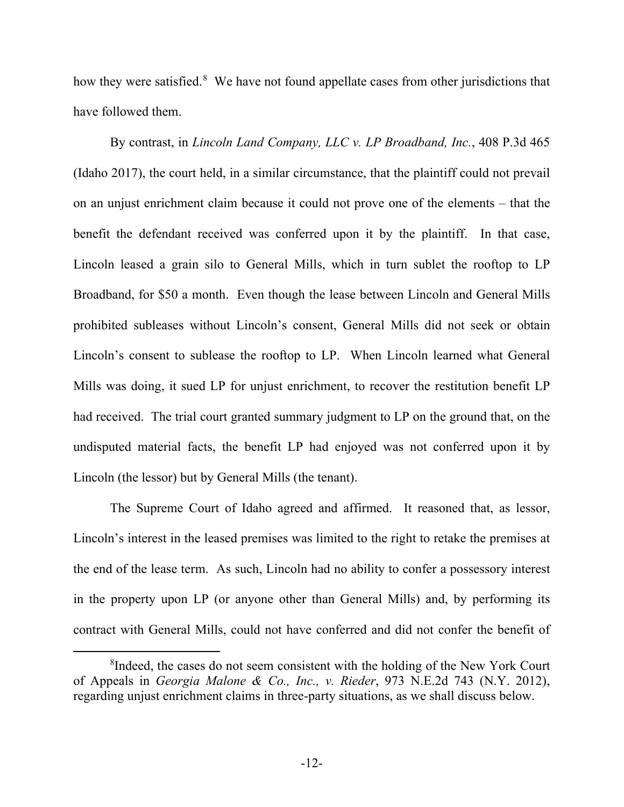how they were satisfied.<sup>[8](#page-13-0)</sup> We have not found appellate cases from other jurisdictions that have followed them.

By contrast, in *Lincoln Land Company, LLC v. LP Broadband, Inc.*, 408 P.3d 465 (Idaho 2017), the court held, in a similar circumstance, that the plaintiff could not prevail on an unjust enrichment claim because it could not prove one of the elements – that the benefit the defendant received was conferred upon it by the plaintiff. In that case, Lincoln leased a grain silo to General Mills, which in turn sublet the rooftop to LP Broadband, for \$50 a month. Even though the lease between Lincoln and General Mills prohibited subleases without Lincoln's consent, General Mills did not seek or obtain Lincoln's consent to sublease the rooftop to LP. When Lincoln learned what General Mills was doing, it sued LP for unjust enrichment, to recover the restitution benefit LP had received. The trial court granted summary judgment to LP on the ground that, on the undisputed material facts, the benefit LP had enjoyed was not conferred upon it by Lincoln (the lessor) but by General Mills (the tenant).

The Supreme Court of Idaho agreed and affirmed. It reasoned that, as lessor, Lincoln's interest in the leased premises was limited to the right to retake the premises at the end of the lease term. As such, Lincoln had no ability to confer a possessory interest in the property upon LP (or anyone other than General Mills) and, by performing its contract with General Mills, could not have conferred and did not confer the benefit of

<span id="page-13-0"></span><sup>&</sup>lt;sup>8</sup>Indeed, the cases do not seem consistent with the holding of the New York Court of Appeals in *Georgia Malone & Co., Inc., v. Rieder*, 973 N.E.2d 743 (N.Y. 2012), regarding unjust enrichment claims in three-party situations, as we shall discuss below.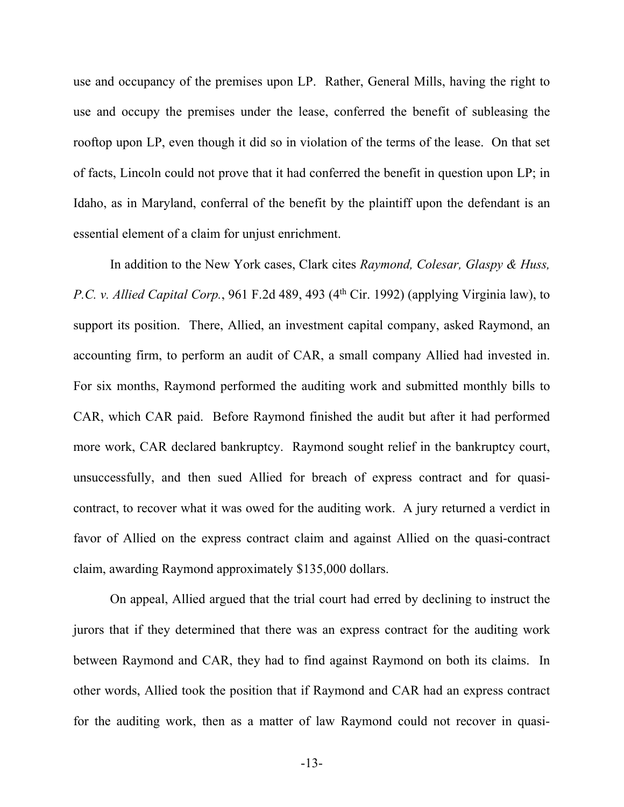use and occupancy of the premises upon LP. Rather, General Mills, having the right to use and occupy the premises under the lease, conferred the benefit of subleasing the rooftop upon LP, even though it did so in violation of the terms of the lease. On that set of facts, Lincoln could not prove that it had conferred the benefit in question upon LP; in Idaho, as in Maryland, conferral of the benefit by the plaintiff upon the defendant is an essential element of a claim for unjust enrichment.

In addition to the New York cases, Clark cites *Raymond, Colesar, Glaspy & Huss, P.C. v. Allied Capital Corp.*, 961 F.2d 489, 493 (4<sup>th</sup> Cir. 1992) (applying Virginia law), to support its position. There, Allied, an investment capital company, asked Raymond, an accounting firm, to perform an audit of CAR, a small company Allied had invested in. For six months, Raymond performed the auditing work and submitted monthly bills to CAR, which CAR paid. Before Raymond finished the audit but after it had performed more work, CAR declared bankruptcy. Raymond sought relief in the bankruptcy court, unsuccessfully, and then sued Allied for breach of express contract and for quasicontract, to recover what it was owed for the auditing work. A jury returned a verdict in favor of Allied on the express contract claim and against Allied on the quasi-contract claim, awarding Raymond approximately \$135,000 dollars.

On appeal, Allied argued that the trial court had erred by declining to instruct the jurors that if they determined that there was an express contract for the auditing work between Raymond and CAR, they had to find against Raymond on both its claims. In other words, Allied took the position that if Raymond and CAR had an express contract for the auditing work, then as a matter of law Raymond could not recover in quasi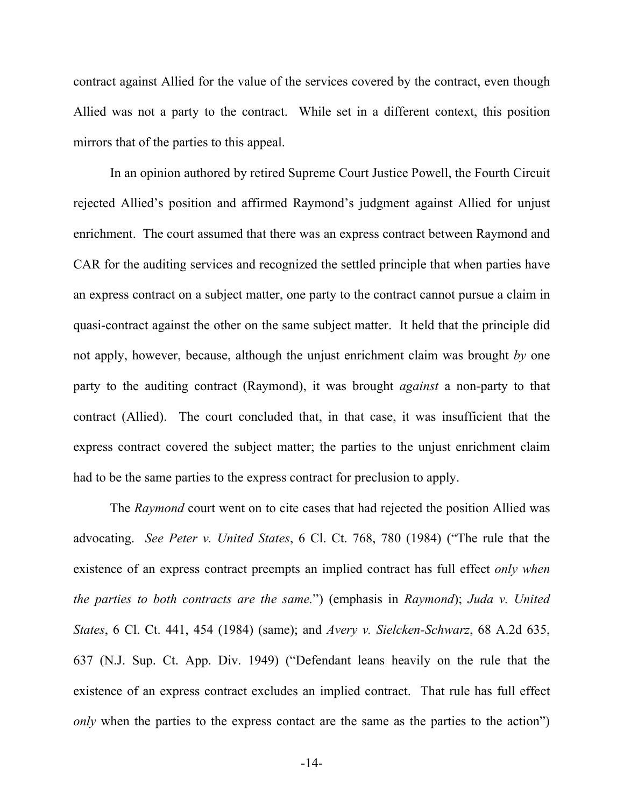contract against Allied for the value of the services covered by the contract, even though Allied was not a party to the contract. While set in a different context, this position mirrors that of the parties to this appeal.

In an opinion authored by retired Supreme Court Justice Powell, the Fourth Circuit rejected Allied's position and affirmed Raymond's judgment against Allied for unjust enrichment. The court assumed that there was an express contract between Raymond and CAR for the auditing services and recognized the settled principle that when parties have an express contract on a subject matter, one party to the contract cannot pursue a claim in quasi-contract against the other on the same subject matter. It held that the principle did not apply, however, because, although the unjust enrichment claim was brought *by* one party to the auditing contract (Raymond), it was brought *against* a non-party to that contract (Allied). The court concluded that, in that case, it was insufficient that the express contract covered the subject matter; the parties to the unjust enrichment claim had to be the same parties to the express contract for preclusion to apply.

The *Raymond* court went on to cite cases that had rejected the position Allied was advocating. *See Peter v. United States*, 6 Cl. Ct. 768, 780 (1984) ("The rule that the existence of an express contract preempts an implied contract has full effect *only when the parties to both contracts are the same.*") (emphasis in *Raymond*); *Juda v. United States*, 6 Cl. Ct. 441, 454 (1984) (same); and *Avery v. Sielcken-Schwarz*, 68 A.2d 635, 637 (N.J. Sup. Ct. App. Div. 1949) ("Defendant leans heavily on the rule that the existence of an express contract excludes an implied contract. That rule has full effect *only* when the parties to the express contact are the same as the parties to the action")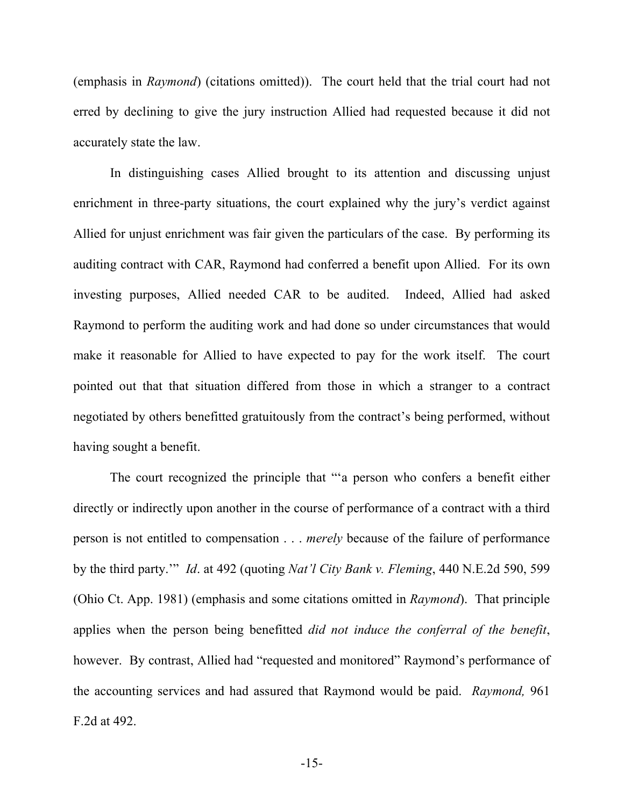(emphasis in *Raymond*) (citations omitted)). The court held that the trial court had not erred by declining to give the jury instruction Allied had requested because it did not accurately state the law.

In distinguishing cases Allied brought to its attention and discussing unjust enrichment in three-party situations, the court explained why the jury's verdict against Allied for unjust enrichment was fair given the particulars of the case. By performing its auditing contract with CAR, Raymond had conferred a benefit upon Allied. For its own investing purposes, Allied needed CAR to be audited. Indeed, Allied had asked Raymond to perform the auditing work and had done so under circumstances that would make it reasonable for Allied to have expected to pay for the work itself. The court pointed out that that situation differed from those in which a stranger to a contract negotiated by others benefitted gratuitously from the contract's being performed, without having sought a benefit.

The court recognized the principle that "'a person who confers a benefit either directly or indirectly upon another in the course of performance of a contract with a third person is not entitled to compensation . . . *merely* because of the failure of performance by the third party.'" *Id*. at 492 (quoting *Nat'l City Bank v. Fleming*, 440 N.E.2d 590, 599 (Ohio Ct. App. 1981) (emphasis and some citations omitted in *Raymond*). That principle applies when the person being benefitted *did not induce the conferral of the benefit*, however. By contrast, Allied had "requested and monitored" Raymond's performance of the accounting services and had assured that Raymond would be paid. *Raymond,* 961 F.2d at 492.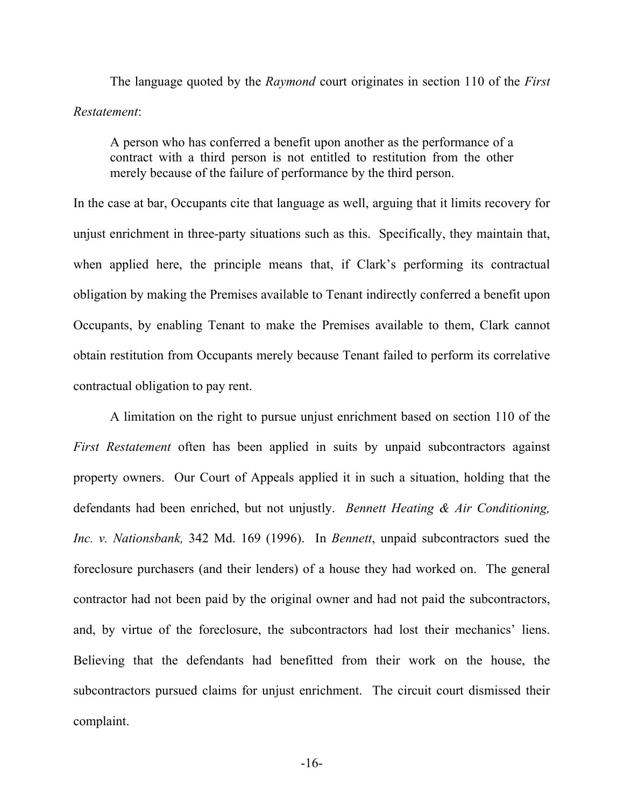The language quoted by the *Raymond* court originates in section 110 of the *First Restatement*:

A person who has conferred a benefit upon another as the performance of a contract with a third person is not entitled to restitution from the other merely because of the failure of performance by the third person.

In the case at bar, Occupants cite that language as well, arguing that it limits recovery for unjust enrichment in three-party situations such as this. Specifically, they maintain that, when applied here, the principle means that, if Clark's performing its contractual obligation by making the Premises available to Tenant indirectly conferred a benefit upon Occupants, by enabling Tenant to make the Premises available to them, Clark cannot obtain restitution from Occupants merely because Tenant failed to perform its correlative contractual obligation to pay rent.

A limitation on the right to pursue unjust enrichment based on section 110 of the *First Restatement* often has been applied in suits by unpaid subcontractors against property owners. Our Court of Appeals applied it in such a situation, holding that the defendants had been enriched, but not unjustly. *Bennett Heating & Air Conditioning, Inc. v. Nationsbank,* 342 Md. 169 (1996). In *Bennett*, unpaid subcontractors sued the foreclosure purchasers (and their lenders) of a house they had worked on. The general contractor had not been paid by the original owner and had not paid the subcontractors, and, by virtue of the foreclosure, the subcontractors had lost their mechanics' liens. Believing that the defendants had benefitted from their work on the house, the subcontractors pursued claims for unjust enrichment. The circuit court dismissed their complaint.

-16-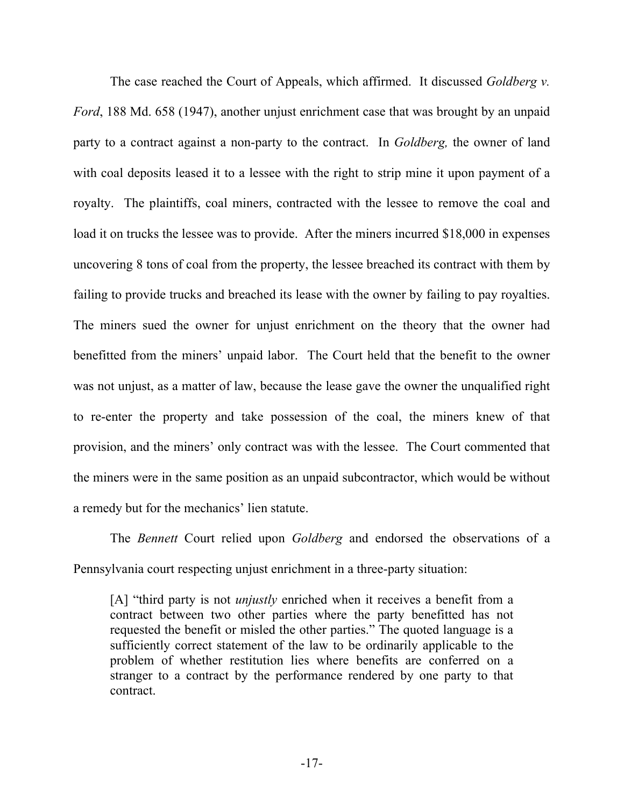The case reached the Court of Appeals, which affirmed. It discussed *Goldberg v. Ford*, 188 Md. 658 (1947), another unjust enrichment case that was brought by an unpaid party to a contract against a non-party to the contract. In *Goldberg,* the owner of land with coal deposits leased it to a lessee with the right to strip mine it upon payment of a royalty. The plaintiffs, coal miners, contracted with the lessee to remove the coal and load it on trucks the lessee was to provide. After the miners incurred \$18,000 in expenses uncovering 8 tons of coal from the property, the lessee breached its contract with them by failing to provide trucks and breached its lease with the owner by failing to pay royalties. The miners sued the owner for unjust enrichment on the theory that the owner had benefitted from the miners' unpaid labor. The Court held that the benefit to the owner was not unjust, as a matter of law, because the lease gave the owner the unqualified right to re-enter the property and take possession of the coal, the miners knew of that provision, and the miners' only contract was with the lessee. The Court commented that the miners were in the same position as an unpaid subcontractor, which would be without a remedy but for the mechanics' lien statute.

The *Bennett* Court relied upon *Goldberg* and endorsed the observations of a Pennsylvania court respecting unjust enrichment in a three-party situation:

[A] "third party is not *unjustly* enriched when it receives a benefit from a contract between two other parties where the party benefitted has not requested the benefit or misled the other parties." The quoted language is a sufficiently correct statement of the law to be ordinarily applicable to the problem of whether restitution lies where benefits are conferred on a stranger to a contract by the performance rendered by one party to that contract.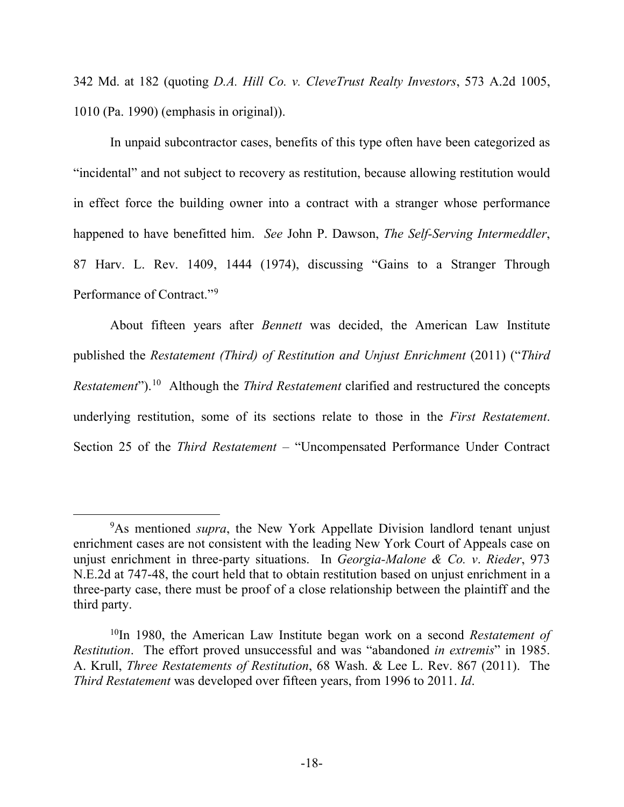342 Md. at 182 (quoting *D.A. Hill Co. v. CleveTrust Realty Investors*, 573 A.2d 1005, 1010 (Pa. 1990) (emphasis in original)).

In unpaid subcontractor cases, benefits of this type often have been categorized as "incidental" and not subject to recovery as restitution, because allowing restitution would in effect force the building owner into a contract with a stranger whose performance happened to have benefitted him. *See* John P. Dawson, *The Self-Serving Intermeddler*, 87 Harv. L. Rev. 1409, 1444 (1974), discussing "Gains to a Stranger Through Performance of Contract."[9](#page-19-0)

About fifteen years after *Bennett* was decided, the American Law Institute published the *Restatement (Third) of Restitution and Unjust Enrichment* (2011) ("*Third Restatement*"). [10](#page-19-1) Although the *Third Restatement* clarified and restructured the concepts underlying restitution, some of its sections relate to those in the *First Restatement*. Section 25 of the *Third Restatement* – "Uncompensated Performance Under Contract

<span id="page-19-0"></span><sup>9</sup> As mentioned *supra*, the New York Appellate Division landlord tenant unjust enrichment cases are not consistent with the leading New York Court of Appeals case on unjust enrichment in three-party situations. In *Georgia-Malone & Co. v*. *Rieder*, 973 N.E.2d at 747-48, the court held that to obtain restitution based on unjust enrichment in a three-party case, there must be proof of a close relationship between the plaintiff and the third party.

<span id="page-19-1"></span><sup>10</sup>In 1980, the American Law Institute began work on a second *Restatement of Restitution*. The effort proved unsuccessful and was "abandoned *in extremis*" in 1985. A. Krull, *Three Restatements of Restitution*, 68 Wash. & Lee L. Rev. 867 (2011). The *Third Restatement* was developed over fifteen years, from 1996 to 2011. *Id*.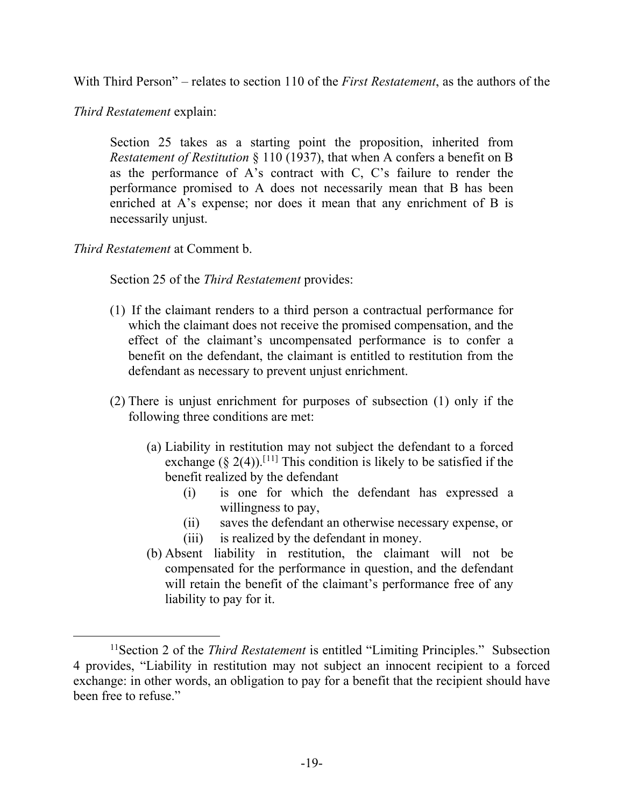With Third Person" – relates to section 110 of the *First Restatement*, as the authors of the

*Third Restatement* explain:

Section 25 takes as a starting point the proposition, inherited from *Restatement of Restitution* § 110 (1937), that when A confers a benefit on B as the performance of A's contract with C, C's failure to render the performance promised to A does not necessarily mean that B has been enriched at A's expense; nor does it mean that any enrichment of B is necessarily unjust.

*Third Restatement* at Comment b.

Section 25 of the *Third Restatement* provides:

- (1) If the claimant renders to a third person a contractual performance for which the claimant does not receive the promised compensation, and the effect of the claimant's uncompensated performance is to confer a benefit on the defendant, the claimant is entitled to restitution from the defendant as necessary to prevent unjust enrichment.
- (2) There is unjust enrichment for purposes of subsection (1) only if the following three conditions are met:
	- (a) Liability in restitution may not subject the defendant to a forced exchange ( $\S$  2(4)).<sup>[[11](#page-20-0)]</sup> This condition is likely to be satisfied if the benefit realized by the defendant
		- (i) is one for which the defendant has expressed a willingness to pay,
		- (ii) saves the defendant an otherwise necessary expense, or
		- (iii) is realized by the defendant in money.
	- (b) Absent liability in restitution, the claimant will not be compensated for the performance in question, and the defendant will retain the benefit of the claimant's performance free of any liability to pay for it.

<span id="page-20-0"></span><sup>&</sup>lt;sup>11</sup> Section 2 of the *Third Restatement* is entitled "Limiting Principles." Subsection 4 provides, "Liability in restitution may not subject an innocent recipient to a forced exchange: in other words, an obligation to pay for a benefit that the recipient should have been free to refuse."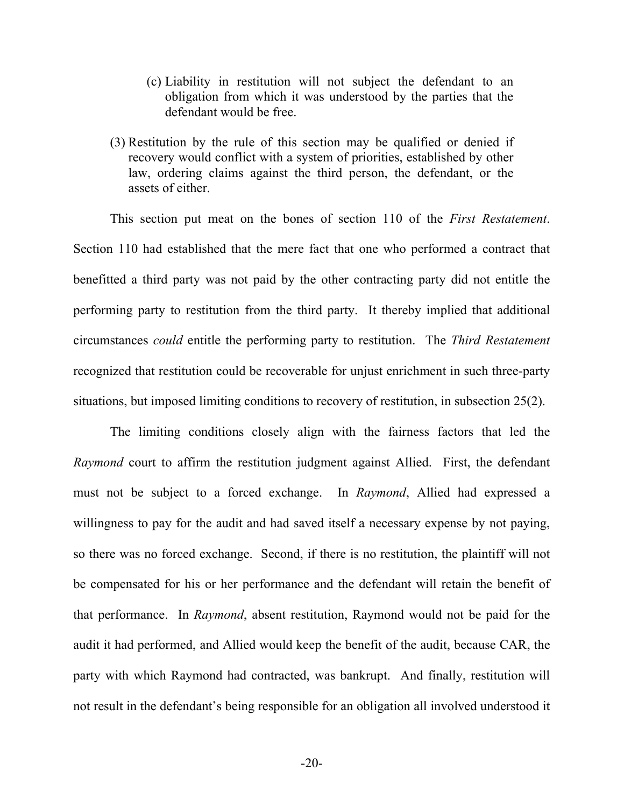- (c) Liability in restitution will not subject the defendant to an obligation from which it was understood by the parties that the defendant would be free.
- (3) Restitution by the rule of this section may be qualified or denied if recovery would conflict with a system of priorities, established by other law, ordering claims against the third person, the defendant, or the assets of either.

This section put meat on the bones of section 110 of the *First Restatement*. Section 110 had established that the mere fact that one who performed a contract that benefitted a third party was not paid by the other contracting party did not entitle the performing party to restitution from the third party. It thereby implied that additional circumstances *could* entitle the performing party to restitution. The *Third Restatement* recognized that restitution could be recoverable for unjust enrichment in such three-party situations, but imposed limiting conditions to recovery of restitution, in subsection 25(2).

The limiting conditions closely align with the fairness factors that led the *Raymond* court to affirm the restitution judgment against Allied. First, the defendant must not be subject to a forced exchange. In *Raymond*, Allied had expressed a willingness to pay for the audit and had saved itself a necessary expense by not paying, so there was no forced exchange. Second, if there is no restitution, the plaintiff will not be compensated for his or her performance and the defendant will retain the benefit of that performance. In *Raymond*, absent restitution, Raymond would not be paid for the audit it had performed, and Allied would keep the benefit of the audit, because CAR, the party with which Raymond had contracted, was bankrupt. And finally, restitution will not result in the defendant's being responsible for an obligation all involved understood it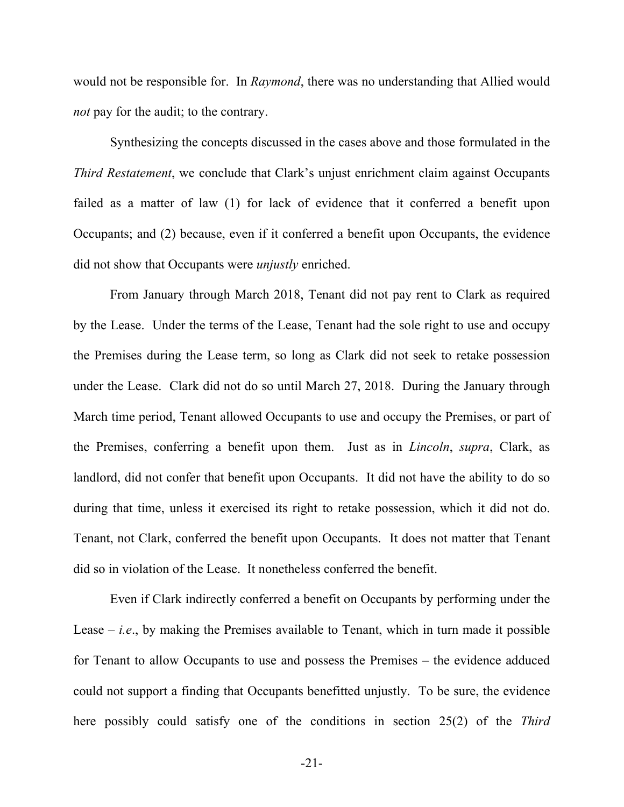would not be responsible for. In *Raymond*, there was no understanding that Allied would *not* pay for the audit; to the contrary.

Synthesizing the concepts discussed in the cases above and those formulated in the *Third Restatement*, we conclude that Clark's unjust enrichment claim against Occupants failed as a matter of law (1) for lack of evidence that it conferred a benefit upon Occupants; and (2) because, even if it conferred a benefit upon Occupants, the evidence did not show that Occupants were *unjustly* enriched.

From January through March 2018, Tenant did not pay rent to Clark as required by the Lease. Under the terms of the Lease, Tenant had the sole right to use and occupy the Premises during the Lease term, so long as Clark did not seek to retake possession under the Lease. Clark did not do so until March 27, 2018. During the January through March time period, Tenant allowed Occupants to use and occupy the Premises, or part of the Premises, conferring a benefit upon them. Just as in *Lincoln*, *supra*, Clark, as landlord, did not confer that benefit upon Occupants. It did not have the ability to do so during that time, unless it exercised its right to retake possession, which it did not do. Tenant, not Clark, conferred the benefit upon Occupants. It does not matter that Tenant did so in violation of the Lease. It nonetheless conferred the benefit.

Even if Clark indirectly conferred a benefit on Occupants by performing under the Lease – *i.e*., by making the Premises available to Tenant, which in turn made it possible for Tenant to allow Occupants to use and possess the Premises – the evidence adduced could not support a finding that Occupants benefitted unjustly. To be sure, the evidence here possibly could satisfy one of the conditions in section 25(2) of the *Third*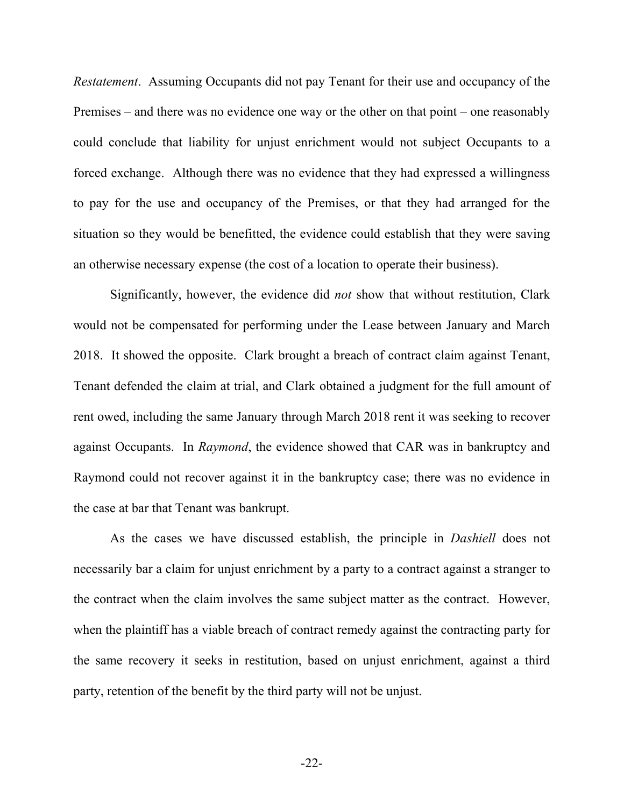*Restatement*. Assuming Occupants did not pay Tenant for their use and occupancy of the Premises – and there was no evidence one way or the other on that point – one reasonably could conclude that liability for unjust enrichment would not subject Occupants to a forced exchange. Although there was no evidence that they had expressed a willingness to pay for the use and occupancy of the Premises, or that they had arranged for the situation so they would be benefitted, the evidence could establish that they were saving an otherwise necessary expense (the cost of a location to operate their business).

Significantly, however, the evidence did *not* show that without restitution, Clark would not be compensated for performing under the Lease between January and March 2018. It showed the opposite. Clark brought a breach of contract claim against Tenant, Tenant defended the claim at trial, and Clark obtained a judgment for the full amount of rent owed, including the same January through March 2018 rent it was seeking to recover against Occupants. In *Raymond*, the evidence showed that CAR was in bankruptcy and Raymond could not recover against it in the bankruptcy case; there was no evidence in the case at bar that Tenant was bankrupt.

As the cases we have discussed establish, the principle in *Dashiell* does not necessarily bar a claim for unjust enrichment by a party to a contract against a stranger to the contract when the claim involves the same subject matter as the contract. However, when the plaintiff has a viable breach of contract remedy against the contracting party for the same recovery it seeks in restitution, based on unjust enrichment, against a third party, retention of the benefit by the third party will not be unjust.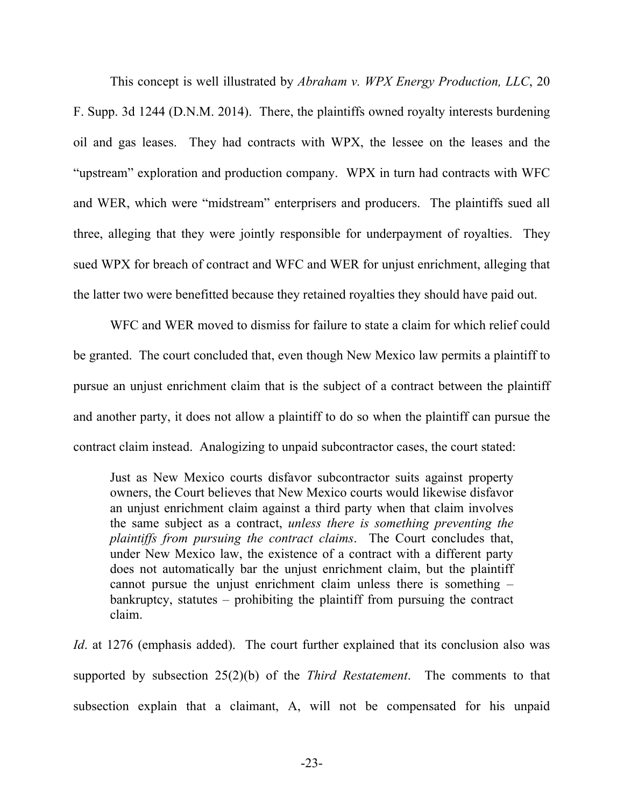This concept is well illustrated by *Abraham v. WPX Energy Production, LLC*, 20 F. Supp. 3d 1244 (D.N.M. 2014). There, the plaintiffs owned royalty interests burdening oil and gas leases. They had contracts with WPX, the lessee on the leases and the "upstream" exploration and production company. WPX in turn had contracts with WFC and WER, which were "midstream" enterprisers and producers. The plaintiffs sued all three, alleging that they were jointly responsible for underpayment of royalties. They sued WPX for breach of contract and WFC and WER for unjust enrichment, alleging that the latter two were benefitted because they retained royalties they should have paid out.

WFC and WER moved to dismiss for failure to state a claim for which relief could be granted. The court concluded that, even though New Mexico law permits a plaintiff to pursue an unjust enrichment claim that is the subject of a contract between the plaintiff and another party, it does not allow a plaintiff to do so when the plaintiff can pursue the contract claim instead. Analogizing to unpaid subcontractor cases, the court stated:

Just as New Mexico courts disfavor subcontractor suits against property owners, the Court believes that New Mexico courts would likewise disfavor an unjust enrichment claim against a third party when that claim involves the same subject as a contract, *unless there is something preventing the plaintiffs from pursuing the contract claims*. The Court concludes that, under New Mexico law, the existence of a contract with a different party does not automatically bar the unjust enrichment claim, but the plaintiff cannot pursue the unjust enrichment claim unless there is something – bankruptcy, statutes – prohibiting the plaintiff from pursuing the contract claim.

*Id.* at 1276 (emphasis added). The court further explained that its conclusion also was supported by subsection 25(2)(b) of the *Third Restatement*. The comments to that subsection explain that a claimant, A, will not be compensated for his unpaid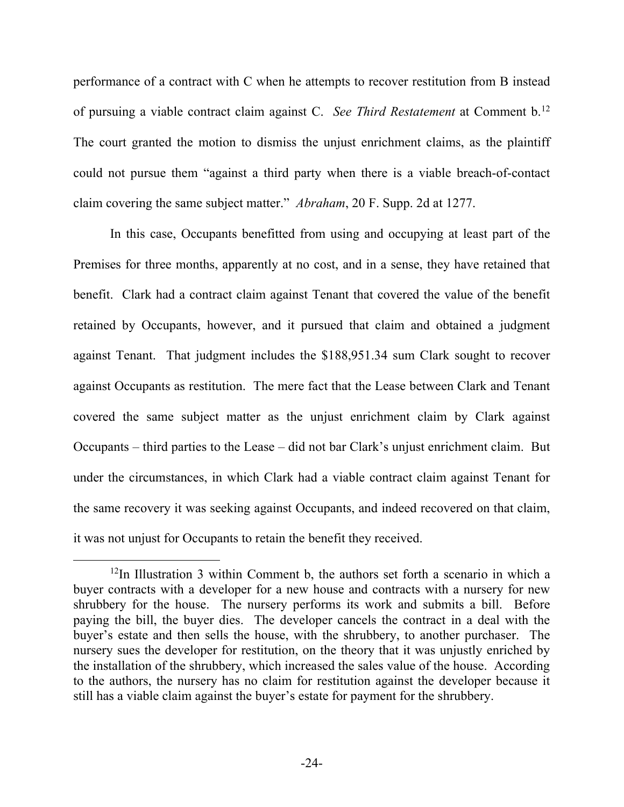performance of a contract with C when he attempts to recover restitution from B instead of pursuing a viable contract claim against C. *See Third Restatement* at Comment b[.12](#page-25-0) The court granted the motion to dismiss the unjust enrichment claims, as the plaintiff could not pursue them "against a third party when there is a viable breach-of-contact claim covering the same subject matter." *Abraham*, 20 F. Supp. 2d at 1277.

In this case, Occupants benefitted from using and occupying at least part of the Premises for three months, apparently at no cost, and in a sense, they have retained that benefit. Clark had a contract claim against Tenant that covered the value of the benefit retained by Occupants, however, and it pursued that claim and obtained a judgment against Tenant. That judgment includes the \$188,951.34 sum Clark sought to recover against Occupants as restitution. The mere fact that the Lease between Clark and Tenant covered the same subject matter as the unjust enrichment claim by Clark against Occupants – third parties to the Lease – did not bar Clark's unjust enrichment claim. But under the circumstances, in which Clark had a viable contract claim against Tenant for the same recovery it was seeking against Occupants, and indeed recovered on that claim, it was not unjust for Occupants to retain the benefit they received.

<span id="page-25-0"></span> $12$ In Illustration 3 within Comment b, the authors set forth a scenario in which a buyer contracts with a developer for a new house and contracts with a nursery for new shrubbery for the house. The nursery performs its work and submits a bill. Before paying the bill, the buyer dies. The developer cancels the contract in a deal with the buyer's estate and then sells the house, with the shrubbery, to another purchaser. The nursery sues the developer for restitution, on the theory that it was unjustly enriched by the installation of the shrubbery, which increased the sales value of the house. According to the authors, the nursery has no claim for restitution against the developer because it still has a viable claim against the buyer's estate for payment for the shrubbery.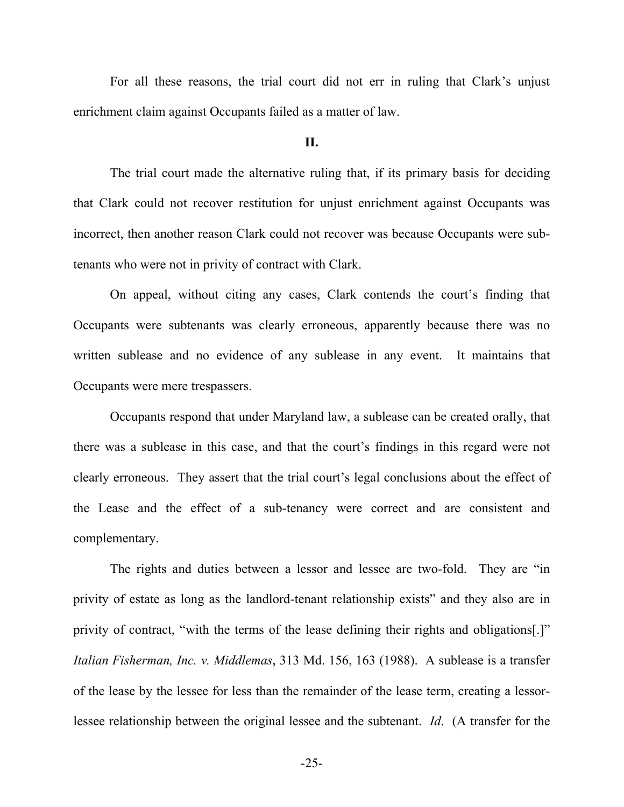For all these reasons, the trial court did not err in ruling that Clark's unjust enrichment claim against Occupants failed as a matter of law.

#### **II.**

The trial court made the alternative ruling that, if its primary basis for deciding that Clark could not recover restitution for unjust enrichment against Occupants was incorrect, then another reason Clark could not recover was because Occupants were subtenants who were not in privity of contract with Clark.

On appeal, without citing any cases, Clark contends the court's finding that Occupants were subtenants was clearly erroneous, apparently because there was no written sublease and no evidence of any sublease in any event. It maintains that Occupants were mere trespassers.

Occupants respond that under Maryland law, a sublease can be created orally, that there was a sublease in this case, and that the court's findings in this regard were not clearly erroneous. They assert that the trial court's legal conclusions about the effect of the Lease and the effect of a sub-tenancy were correct and are consistent and complementary.

The rights and duties between a lessor and lessee are two-fold. They are "in privity of estate as long as the landlord-tenant relationship exists" and they also are in privity of contract, "with the terms of the lease defining their rights and obligations[.]" *Italian Fisherman, Inc. v. Middlemas*, 313 Md. 156, 163 (1988). A sublease is a transfer of the lease by the lessee for less than the remainder of the lease term, creating a lessorlessee relationship between the original lessee and the subtenant. *Id*. (A transfer for the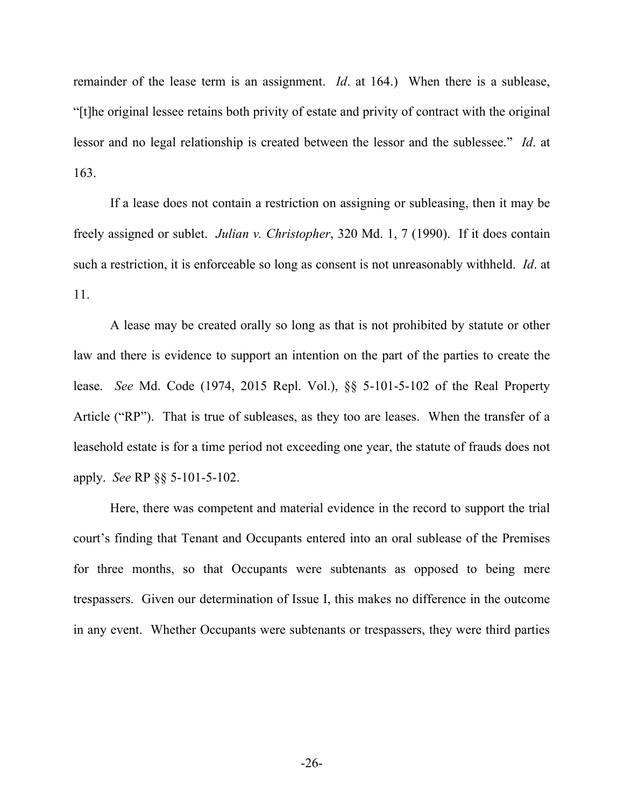remainder of the lease term is an assignment. *Id*. at 164.) When there is a sublease, "[t]he original lessee retains both privity of estate and privity of contract with the original lessor and no legal relationship is created between the lessor and the sublessee." *Id*. at 163.

If a lease does not contain a restriction on assigning or subleasing, then it may be freely assigned or sublet. *Julian v. Christopher*, 320 Md. 1, 7 (1990). If it does contain such a restriction, it is enforceable so long as consent is not unreasonably withheld. *Id*. at 11.

A lease may be created orally so long as that is not prohibited by statute or other law and there is evidence to support an intention on the part of the parties to create the lease. *See* Md. Code (1974, 2015 Repl. Vol.), §§ 5-101-5-102 of the Real Property Article ("RP"). That is true of subleases, as they too are leases. When the transfer of a leasehold estate is for a time period not exceeding one year, the statute of frauds does not apply. *See* RP §§ 5-101-5-102.

Here, there was competent and material evidence in the record to support the trial court's finding that Tenant and Occupants entered into an oral sublease of the Premises for three months, so that Occupants were subtenants as opposed to being mere trespassers. Given our determination of Issue I, this makes no difference in the outcome in any event. Whether Occupants were subtenants or trespassers, they were third parties